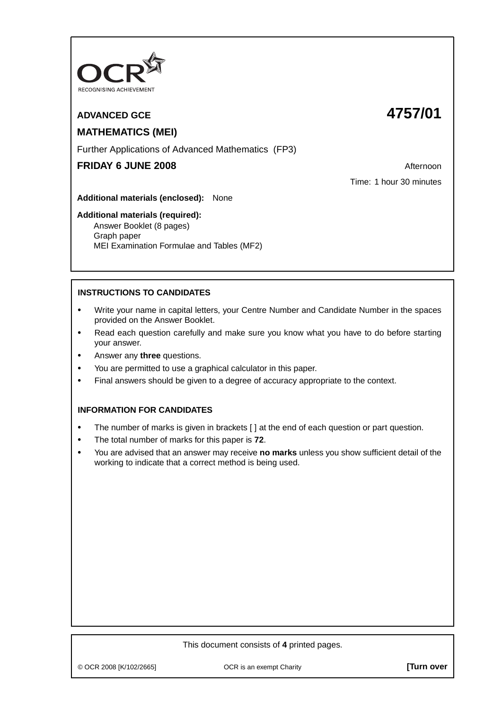

# **ADVANCED GCE 4757/01**

# **MATHEMATICS (MEI)**

Further Applications of Advanced Mathematics (FP3)

# **FRIDAY 6 JUNE 2008 Afternoon**

Time: 1 hour 30 minutes

**Additional materials (enclosed):** None

## **Additional materials (required):**

Answer Booklet (8 pages) Graph paper MEI Examination Formulae and Tables (MF2)

# **INSTRUCTIONS TO CANDIDATES**

- **•** Write your name in capital letters, your Centre Number and Candidate Number in the spaces provided on the Answer Booklet.
- **•** Read each question carefully and make sure you know what you have to do before starting your answer.
- **•** Answer any **three** questions.
- **•** You are permitted to use a graphical calculator in this paper.
- **•** Final answers should be given to a degree of accuracy appropriate to the context.

## **INFORMATION FOR CANDIDATES**

- The number of marks is given in brackets [ ] at the end of each question or part question.
- **•** The total number of marks for this paper is **72**.
- **•** You are advised that an answer may receive **no marks** unless you show sufficient detail of the working to indicate that a correct method is being used.

## This document consists of **4** printed pages.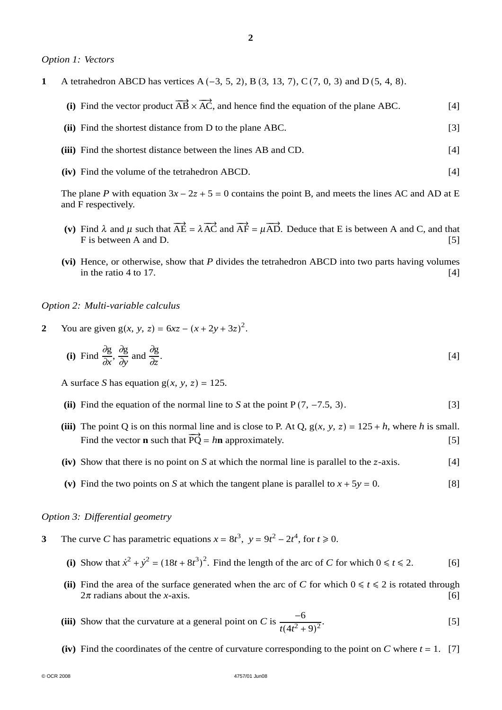#### *Option 1: Vectors*

- **1** A tetrahedron ABCD has vertices A (−3, 5, 2), B (3, 13, 7), C(7, 0, 3) and D (5, 4, 8).
	- (i) Find the vector product  $\overrightarrow{AB} \times \overrightarrow{AC}$ , and hence find the equation of the plane ABC. [4]
	- **(ii)** Find the shortest distance from D to the plane ABC. [3] **(iii)** Find the shortest distance between the lines AB and CD. [4]
	- **(iv)** Find the volume of the tetrahedron ABCD. [4]

The plane *P* with equation  $3x - 2z + 5 = 0$  contains the point B, and meets the lines AC and AD at E and F respectively.

- (**v**) Find  $\lambda$  and  $\mu$  such that  $\overrightarrow{AE} = \lambda \overrightarrow{AC}$  and  $\overrightarrow{AF} = \mu \overrightarrow{AD}$ . Deduce that E is between A and C, and that F is between A and D. [5]
- **(vi)** Hence, or otherwise, show that *P* divides the tetrahedron ABCD into two parts having volumes in the ratio 4 to 17.  $[4]$

*Option 2: Multi-variable calculus*

2 You are given  $g(x, y, z) = 6xz - (x + 2y + 3z)^2$ .

(i) Find 
$$
\frac{\partial g}{\partial x}
$$
,  $\frac{\partial g}{\partial y}$  and  $\frac{\partial g}{\partial z}$ . [4]

A surface *S* has equation  $g(x, y, z) = 125$ .

- **(ii)** Find the equation of the normal line to *S* at the point  $P(7, -7.5, 3)$ . [3]
- (iii) The point Q is on this normal line and is close to P. At Q,  $g(x, y, z) = 125 + h$ , where *h* is small. Find the vector **n** such that  $\overrightarrow{PQ} = h\mathbf{n}$  approximately. [5]
- $(iv)$  Show that there is no point on *S* at which the normal line is parallel to the *z*-axis. [4]
- (v) Find the two points on *S* at which the tangent plane is parallel to  $x + 5y = 0$ . [8]

#### *Option 3: Differential geometry*

- **3** The curve *C* has parametric equations  $x = 8t^3$ ,  $y = 9t^2 2t^4$ , for  $t \ge 0$ .
	- (i) Show that  $\dot{x}^2 + \dot{y}^2 = (18t + 8t^3)^2$ . Find the length of the arc of *C* for which  $0 \le t \le 2$ . [6]
	- (ii) Find the area of the surface generated when the arc of *C* for which  $0 \le t \le 2$  is rotated through  $2\pi$  radians about the *x*-axis. [6]  $2\pi$  radians about the *x*-axis.
	- **(iii)** Show that the curvature at a general point on *C* is  $\frac{-6}{(11)^2}$  $\frac{6}{t(4t^2+9)^2}$  [5]
	- (iv) Find the coordinates of the centre of curvature corresponding to the point on *C* where  $t = 1$ . [7]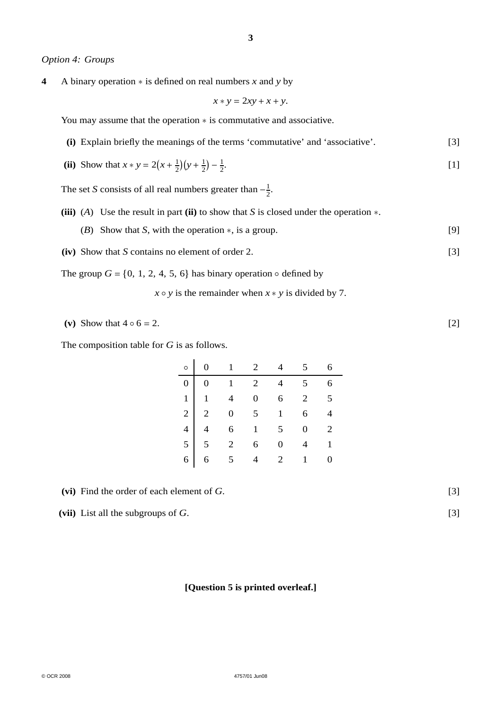#### *Option 4: Groups*

**4** A binary operation ∗ is defined on real numbers *x* and *y* by

 $x * y = 2xy + x + y$ .

You may assume that the operation ∗ is commutative and associative.

**(i)** Explain briefly the meanings of the terms 'commutative' and 'associative'. [3]

(ii) Show that 
$$
x * y = 2(x + \frac{1}{2})(y + \frac{1}{2}) - \frac{1}{2}
$$
.

The set *S* consists of all real numbers greater than  $-\frac{1}{2}$ .

- **(iii)** (*A*) Use the result in part **(ii)** to show that *S* is closed under the operation ∗.
	- (*B*) Show that *S*, with the operation ∗, is a group. [9]
- **(iv)** Show that *S* contains no element of order 2. [3]
- The group  $G = \{0, 1, 2, 4, 5, 6\}$  has binary operation  $\circ$  defined by
	- $x \circ y$  is the remainder when  $x * y$  is divided by 7.
- (v) Show that  $4 \circ 6 = 2$ . [2]

The composition table for *G* is as follows.

|  | $\circ$ 0 1 2 4 5 6                                                                                                                                                                                              |  |  |
|--|------------------------------------------------------------------------------------------------------------------------------------------------------------------------------------------------------------------|--|--|
|  |                                                                                                                                                                                                                  |  |  |
|  |                                                                                                                                                                                                                  |  |  |
|  |                                                                                                                                                                                                                  |  |  |
|  |                                                                                                                                                                                                                  |  |  |
|  |                                                                                                                                                                                                                  |  |  |
|  | $\begin{array}{c cccccc} 0 & 0 & 1 & 2 & 4 & 5 & 6 \\ 1 & 1 & 4 & 0 & 6 & 2 & 5 \\ 2 & 2 & 0 & 5 & 1 & 6 & 4 \\ 4 & 4 & 6 & 1 & 5 & 0 & 2 \\ 5 & 5 & 2 & 6 & 0 & 4 & 1 \\ 6 & 6 & 5 & 4 & 2 & 1 & 0 \end{array}$ |  |  |

**(vi)** Find the order of each element of *G*. [3]

**(vii)** List all the subgroups of *G*. [3]

#### **[Question 5 is printed overleaf.]**